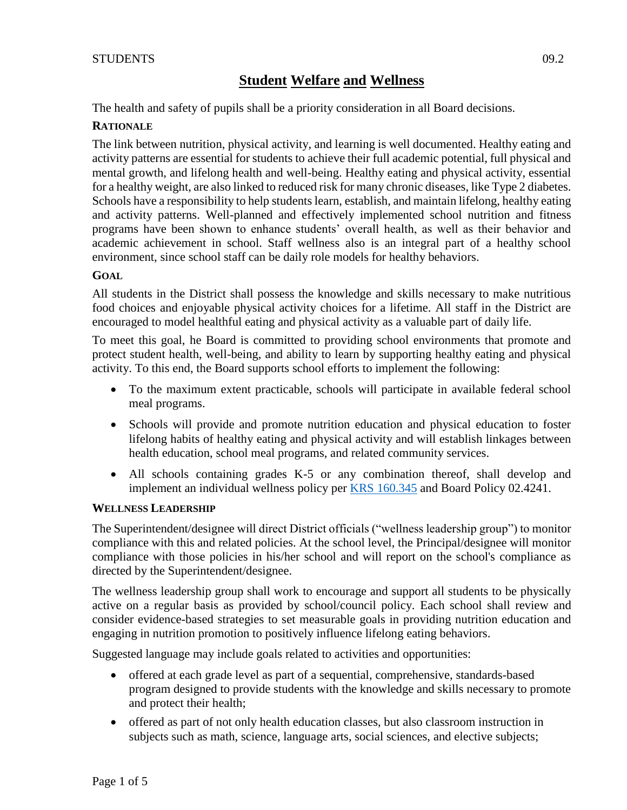The health and safety of pupils shall be a priority consideration in all Board decisions.

### **RATIONALE**

The link between nutrition, physical activity, and learning is well documented. Healthy eating and activity patterns are essential for students to achieve their full academic potential, full physical and mental growth, and lifelong health and well-being. Healthy eating and physical activity, essential for a healthy weight, are also linked to reduced risk for many chronic diseases, like Type 2 diabetes. Schools have a responsibility to help students learn, establish, and maintain lifelong, healthy eating and activity patterns. Well-planned and effectively implemented school nutrition and fitness programs have been shown to enhance students' overall health, as well as their behavior and academic achievement in school. Staff wellness also is an integral part of a healthy school environment, since school staff can be daily role models for healthy behaviors.

### **GOAL**

All students in the District shall possess the knowledge and skills necessary to make nutritious food choices and enjoyable physical activity choices for a lifetime. All staff in the District are encouraged to model healthful eating and physical activity as a valuable part of daily life.

To meet this goal, he Board is committed to providing school environments that promote and protect student health, well-being, and ability to learn by supporting healthy eating and physical activity. To this end, the Board supports school efforts to implement the following:

- To the maximum extent practicable, schools will participate in available federal school meal programs.
- Schools will provide and promote nutrition education and physical education to foster lifelong habits of healthy eating and physical activity and will establish linkages between health education, school meal programs, and related community services.
- All schools containing grades K-5 or any combination thereof, shall develop and implement an individual wellness policy per [KRS 160.345](http://policy.ksba.org/DocumentManager.aspx?requestarticle=/KRS/160-00/345.pdf&requesttype=krs) and Board Policy 02.4241.

### **WELLNESS LEADERSHIP**

The Superintendent/designee will direct District officials ("wellness leadership group") to monitor compliance with this and related policies. At the school level, the Principal/designee will monitor compliance with those policies in his/her school and will report on the school's compliance as directed by the Superintendent/designee.

The wellness leadership group shall work to encourage and support all students to be physically active on a regular basis as provided by school/council policy. Each school shall review and consider evidence-based strategies to set measurable goals in providing nutrition education and engaging in nutrition promotion to positively influence lifelong eating behaviors.

Suggested language may include goals related to activities and opportunities:

- offered at each grade level as part of a sequential, comprehensive, standards-based program designed to provide students with the knowledge and skills necessary to promote and protect their health;
- offered as part of not only health education classes, but also classroom instruction in subjects such as math, science, language arts, social sciences, and elective subjects;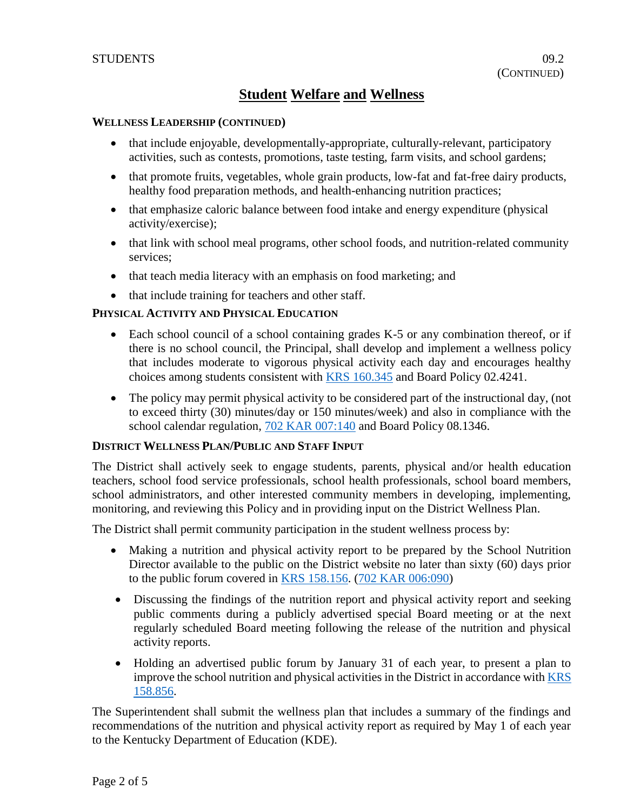#### **WELLNESS LEADERSHIP (CONTINUED)**

- that include enjoyable, developmentally-appropriate, culturally-relevant, participatory activities, such as contests, promotions, taste testing, farm visits, and school gardens;
- that promote fruits, vegetables, whole grain products, low-fat and fat-free dairy products, healthy food preparation methods, and health-enhancing nutrition practices;
- that emphasize caloric balance between food intake and energy expenditure (physical activity/exercise);
- that link with school meal programs, other school foods, and nutrition-related community services;
- that teach media literacy with an emphasis on food marketing; and
- that include training for teachers and other staff.

#### **PHYSICAL ACTIVITY AND PHYSICAL EDUCATION**

- Each school council of a school containing grades K-5 or any combination thereof, or if there is no school council, the Principal, shall develop and implement a wellness policy that includes moderate to vigorous physical activity each day and encourages healthy choices among students consistent with [KRS 160.345](http://policy.ksba.org/DocumentManager.aspx?requestarticle=/KRS/160-00/345.pdf&requesttype=krs) and Board Policy 02.4241.
- The policy may permit physical activity to be considered part of the instructional day, (not to exceed thirty (30) minutes/day or 150 minutes/week) and also in compliance with the school calendar regulation, [702 KAR 007:140](http://policy.ksba.org/documentmanager.aspx?requestarticle=/kar/702/007/140.htm&requesttype=kar) and Board Policy 08.1346.

#### **DISTRICT WELLNESS PLAN/PUBLIC AND STAFF INPUT**

The District shall actively seek to engage students, parents, physical and/or health education teachers, school food service professionals, school health professionals, school board members, school administrators, and other interested community members in developing, implementing, monitoring, and reviewing this Policy and in providing input on the District Wellness Plan.

The District shall permit community participation in the student wellness process by:

- Making a nutrition and physical activity report to be prepared by the School Nutrition Director available to the public on the District website no later than sixty (60) days prior to the public forum covered in [KRS 158.156.](http://policy.ksba.org/DocumentManager.aspx?requestarticle=/KRS/158-00/156.pdf&requesttype=krs) [\(702 KAR 006:090\)](http://policy.ksba.org/documentmanager.aspx?requestarticle=/kar/702/006/090.htm&requesttype=kar)
- Discussing the findings of the nutrition report and physical activity report and seeking public comments during a publicly advertised special Board meeting or at the next regularly scheduled Board meeting following the release of the nutrition and physical activity reports.
- Holding an advertised public forum by January 31 of each year, to present a plan to improve the school nutrition and physical activities in the District in accordance wit[h KRS](http://policy.ksba.org/DocumentManager.aspx?requestarticle=/KRS/158-00/856.pdf&requesttype=krs)  [158.856.](http://policy.ksba.org/DocumentManager.aspx?requestarticle=/KRS/158-00/856.pdf&requesttype=krs)

The Superintendent shall submit the wellness plan that includes a summary of the findings and recommendations of the nutrition and physical activity report as required by May 1 of each year to the Kentucky Department of Education (KDE).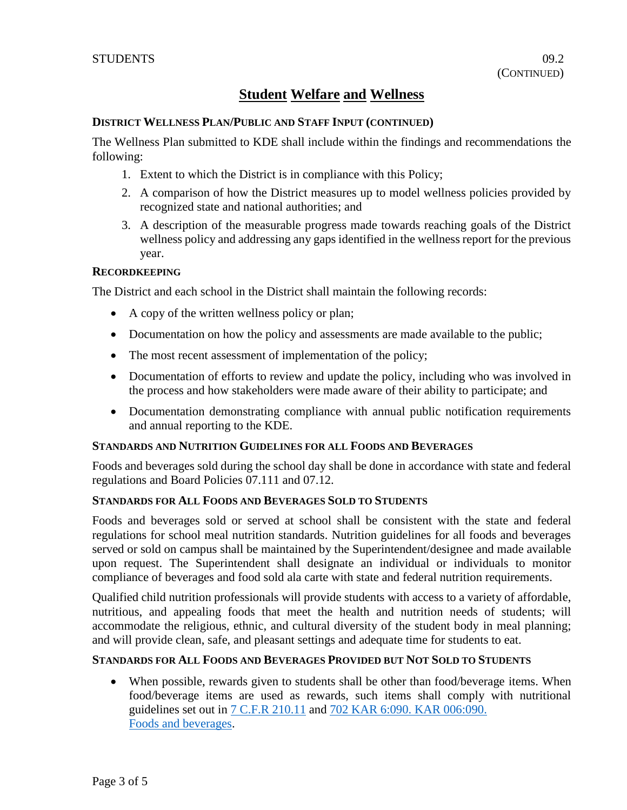#### **DISTRICT WELLNESS PLAN/PUBLIC AND STAFF INPUT (CONTINUED)**

The Wellness Plan submitted to KDE shall include within the findings and recommendations the following:

- 1. Extent to which the District is in compliance with this Policy;
- 2. A comparison of how the District measures up to model wellness policies provided by recognized state and national authorities; and
- 3. A description of the measurable progress made towards reaching goals of the District wellness policy and addressing any gaps identified in the wellness report for the previous year.

#### **RECORDKEEPING**

The District and each school in the District shall maintain the following records:

- A copy of the written wellness policy or plan;
- Documentation on how the policy and assessments are made available to the public;
- The most recent assessment of implementation of the policy;
- Documentation of efforts to review and update the policy, including who was involved in the process and how stakeholders were made aware of their ability to participate; and
- Documentation demonstrating compliance with annual public notification requirements and annual reporting to the KDE.

#### **STANDARDS AND NUTRITION GUIDELINES FOR ALL FOODS AND BEVERAGES**

Foods and beverages sold during the school day shall be done in accordance with state and federal regulations and Board Policies 07.111 and 07.12.

## **STANDARDS FOR ALL FOODS AND BEVERAGES SOLD TO STUDENTS**

Foods and beverages sold or served at school shall be consistent with the state and federal regulations for school meal nutrition standards. Nutrition guidelines for all foods and beverages served or sold on campus shall be maintained by the Superintendent/designee and made available upon request. The Superintendent shall designate an individual or individuals to monitor compliance of beverages and food sold ala carte with state and federal nutrition requirements.

Qualified child nutrition professionals will provide students with access to a variety of affordable, nutritious, and appealing foods that meet the health and nutrition needs of students; will accommodate the religious, ethnic, and cultural diversity of the student body in meal planning; and will provide clean, safe, and pleasant settings and adequate time for students to eat.

## **STANDARDS FOR ALL FOODS AND BEVERAGES PROVIDED BUT NOT SOLD TO STUDENTS**

• When possible, rewards given to students shall be other than food/beverage items. When food/beverage items are used as rewards, such items shall comply with nutritional guidelines set out in [7 C.F.R 210.11](https://www.fns.usda.gov/sites/default/files/7cfr210_09.pdf) and [702 KAR 6:090. KAR 006:090.](http://policy.ksba.org/documentmanager.aspx?requestarticle=/kar/702%20KAR%206:090./006/090.%0dFoods%20and%20beverages.htm&requesttype=kar) [Foods and beverages.](http://policy.ksba.org/documentmanager.aspx?requestarticle=/kar/702%20KAR%206:090./006/090.%0dFoods%20and%20beverages.htm&requesttype=kar)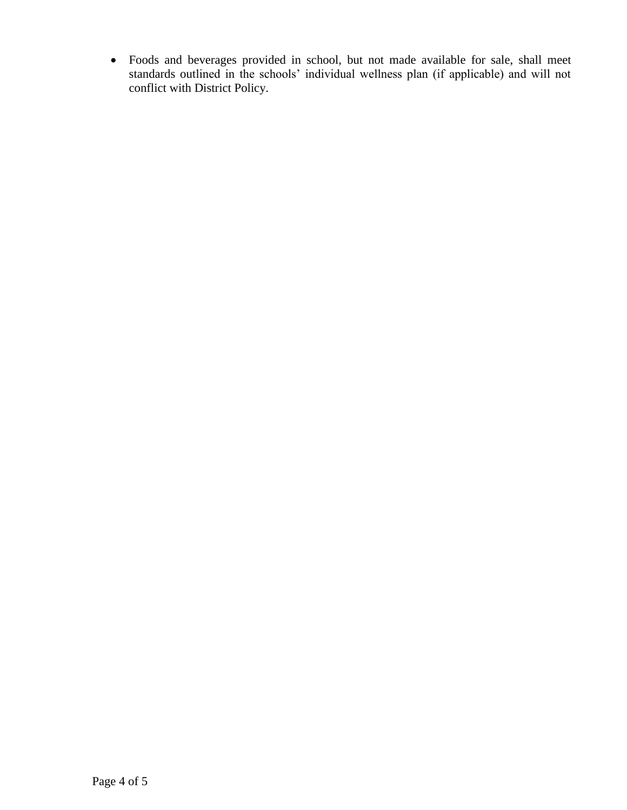• Foods and beverages provided in school, but not made available for sale, shall meet standards outlined in the schools' individual wellness plan (if applicable) and will not conflict with District Policy.